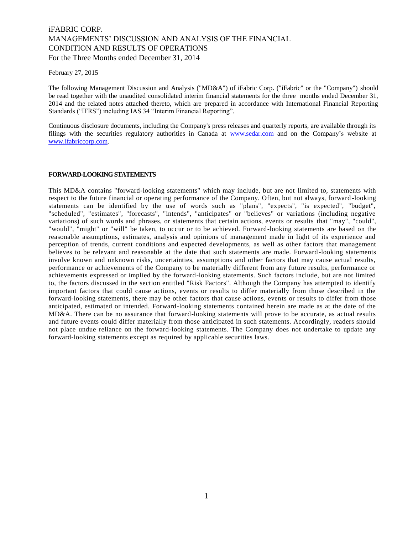# iFABRIC CORP. MANAGEMENTS' DISCUSSION AND ANALYSIS OF THE FINANCIAL CONDITION AND RESULTS OF OPERATIONS For the Three Months ended December 31, 2014

February 27, 2015

The following Management Discussion and Analysis ("MD&A") of iFabric Corp. ("iFabric" or the "Company") should be read together with the unaudited consolidated interim financial statements for the three months ended December 31, 2014 and the related notes attached thereto, which are prepared in accordance with International Financial Reporting Standards ("IFRS") including IAS 34 "Interim Financial Reporting".

Continuous disclosure documents, including the Company's press releases and quarterly reports, are available through its filings with the securities regulatory authorities in Canada at [www.sedar.com](http://www.sedar.com/) and on the Company's website at [www.ifabriccorp.com.](file:///C:/Users/Hilton/Dropbox/iFabric%20(1)/MDA/Q%201%202015/www.ifabriccorp.com)

#### **FORWARD-LOOKING STATEMENTS**

This MD&A contains "forward-looking statements" which may include, but are not limited to, statements with respect to the future financial or operating performance of the Company. Often, but not always, forward -looking statements can be identified by the use of words such as "plans", "expects", "is expected", "budget", "scheduled", "estimates", "forecasts", "intends", "anticipates" or "believes" or variations (including negative variations) of such words and phrases, or statements that certain actions, events or results that "may", "could", "would", "might" or "will" be taken, to occur or to be achieved. Forward-looking statements are based on the reasonable assumptions, estimates, analysis and opinions of management made in light of its experience and perception of trends, current conditions and expected developments, as well as other factors that management believes to be relevant and reasonable at the date that such statements are made. Forward -looking statements involve known and unknown risks, uncertainties, assumptions and other factors that may cause actual results, performance or achievements of the Company to be materially different from any future results, performance or achievements expressed or implied by the forward-looking statements. Such factors include, but are not limited to, the factors discussed in the section entitled "Risk Factors". Although the Company has attempted to identify important factors that could cause actions, events or results to differ materially from those described in the forward-looking statements, there may be other factors that cause actions, events or results to differ from those anticipated, estimated or intended. Forward-looking statements contained herein are made as at the date of the MD&A. There can be no assurance that forward-looking statements will prove to be accurate, as actual results and future events could differ materially from those anticipated in such statements. Accordingly, readers should not place undue reliance on the forward-looking statements. The Company does not undertake to update any forward-looking statements except as required by applicable securities laws.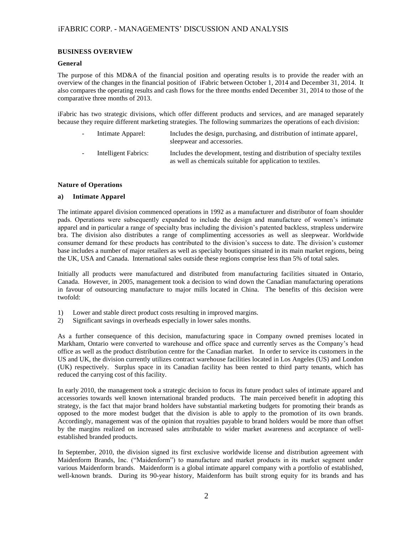### **BUSINESS OVERVIEW**

### **General**

The purpose of this MD&A of the financial position and operating results is to provide the reader with an overview of the changes in the financial position of iFabric between October 1, 2014 and December 31, 2014. It also compares the operating results and cash flows for the three months ended December 31, 2014 to those of the comparative three months of 2013.

iFabric has two strategic divisions, which offer different products and services, and are managed separately because they require different marketing strategies. The following summarizes the operations of each division:

- Intimate Apparel: Includes the design, purchasing, and distribution of intimate apparel, sleepwear and accessories.
- Intelligent Fabrics: Includes the development, testing and distribution of specialty textiles as well as chemicals suitable for application to textiles.

#### **Nature of Operations**

#### **a) Intimate Apparel**

The intimate apparel division commenced operations in 1992 as a manufacturer and distributor of foam shoulder pads. Operations were subsequently expanded to include the design and manufacture of women's intimate apparel and in particular a range of specialty bras including the division's patented backless, strapless underwire bra. The division also distributes a range of complimenting accessories as well as sleepwear. Worldwide consumer demand for these products has contributed to the division's success to date. The division's customer base includes a number of major retailers as well as specialty boutiques situated in its main market regions, being the UK, USA and Canada. International sales outside these regions comprise less than 5% of total sales.

Initially all products were manufactured and distributed from manufacturing facilities situated in Ontario, Canada. However, in 2005, management took a decision to wind down the Canadian manufacturing operations in favour of outsourcing manufacture to major mills located in China. The benefits of this decision were twofold:

- 1) Lower and stable direct product costs resulting in improved margins.
- 2) Significant savings in overheads especially in lower sales months.

As a further consequence of this decision, manufacturing space in Company owned premises located in Markham, Ontario were converted to warehouse and office space and currently serves as the Company's head office as well as the product distribution centre for the Canadian market. In order to service its customers in the US and UK, the division currently utilizes contract warehouse facilities located in Los Angeles (US) and London (UK) respectively. Surplus space in its Canadian facility has been rented to third party tenants, which has reduced the carrying cost of this facility.

In early 2010, the management took a strategic decision to focus its future product sales of intimate apparel and accessories towards well known international branded products. The main perceived benefit in adopting this strategy, is the fact that major brand holders have substantial marketing budgets for promoting their brands as opposed to the more modest budget that the division is able to apply to the promotion of its own brands. Accordingly, management was of the opinion that royalties payable to brand holders would be more than offset by the margins realized on increased sales attributable to wider market awareness and acceptance of wellestablished branded products.

In September, 2010, the division signed its first exclusive worldwide license and distribution agreement with Maidenform Brands, Inc. ("Maidenform") to manufacture and market products in its market segment under various Maidenform brands. Maidenform is a global intimate apparel company with a portfolio of established, well-known brands. During its 90-year history, Maidenform has built strong equity for its brands and has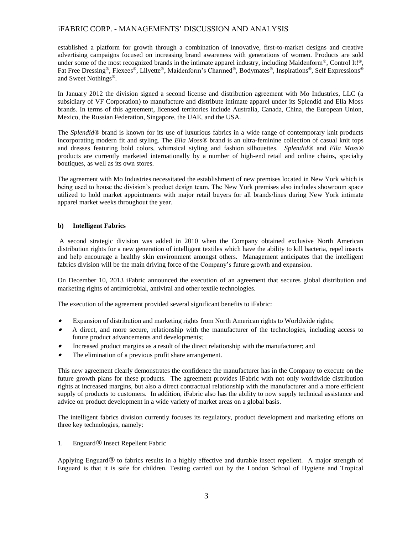established a platform for growth through a combination of innovative, first-to-market designs and creative advertising campaigns focused on increasing brand awareness with generations of women. Products are sold under some of the most recognized brands in the intimate apparel industry, including Maidenform®, Control It!®, Fat Free Dressing®, Flexees®, Lilyette®, Maidenform's Charmed®, Bodymates®, Inspirations®, Self Expressions® and Sweet Nothings®.

In January 2012 the division signed a second license and distribution agreement with Mo Industries, LLC (a subsidiary of VF Corporation) to manufacture and distribute intimate apparel under its Splendid and Ella Moss brands. In terms of this agreement, licensed territories include Australia, Canada, China, the European Union, Mexico, the Russian Federation, Singapore, the UAE, and the USA.

The *Splendid®* brand is known for its use of luxurious fabrics in a wide range of contemporary knit products incorporating modern fit and styling. The *Ella Moss®* brand is an ultra-feminine collection of casual knit tops and dresses featuring bold colors, whimsical styling and fashion silhouettes. *Splendid®* and *Ella Moss®*  products are currently marketed internationally by a number of high-end retail and online chains, specialty boutiques, as well as its own stores.

The agreement with Mo Industries necessitated the establishment of new premises located in New York which is being used to house the division's product design team. The New York premises also includes showroom space utilized to hold market appointments with major retail buyers for all brands/lines during New York intimate apparel market weeks throughout the year.

#### **b) Intelligent Fabrics**

A second strategic division was added in 2010 when the Company obtained exclusive North American distribution rights for a new generation of intelligent textiles which have the ability to kill bacteria, repel insects and help encourage a healthy skin environment amongst others. Management anticipates that the intelligent fabrics division will be the main driving force of the Company's future growth and expansion.

On December 10, 2013 iFabric announced the execution of an agreement that secures global distribution and marketing rights of antimicrobial, antiviral and other textile technologies.

The execution of the agreement provided several significant benefits to iFabric:

- . Expansion of distribution and marketing rights from North American rights to Worldwide rights;
- . A direct, and more secure, relationship with the manufacturer of the technologies, including access to future product advancements and developments;
- . Increased product margins as a result of the direct relationship with the manufacturer; and
- . The elimination of a previous profit share arrangement.

This new agreement clearly demonstrates the confidence the manufacturer has in the Company to execute on the future growth plans for these products. The agreement provides iFabric with not only worldwide distribution rights at increased margins, but also a direct contractual relationship with the manufacturer and a more efficient supply of products to customers. In addition, iFabric also has the ability to now supply technical assistance and advice on product development in a wide variety of market areas on a global basis.

The intelligent fabrics division currently focuses its regulatory, product development and marketing efforts on three key technologies, namely:

1. Enguard*®* Insect Repellent Fabric

Applying Enguard*®* to fabrics results in a highly effective and durable insect repellent. A major strength of Enguard is that it is safe for children. Testing carried out by the London School of Hygiene and Tropical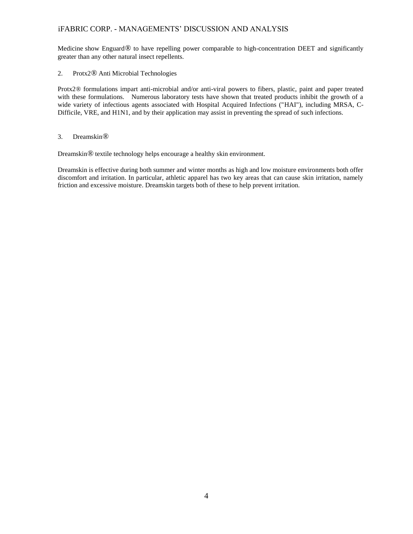Medicine show Enguard*®* to have repelling power comparable to high-concentration DEET and significantly greater than any other natural insect repellents.

2. Protx2*®* Anti Microbial Technologies

Protx2*®* formulations impart anti-microbial and/or anti-viral powers to fibers, plastic, paint and paper treated with these formulations. Numerous laboratory tests have shown that treated products inhibit the growth of a wide variety of infectious agents associated with Hospital Acquired Infections ("HAI"), including MRSA, C-Difficile, VRE, and H1N1, and by their application may assist in preventing the spread of such infections.

3. Dreamskin*®*

Dreamskin*®* textile technology helps encourage a healthy skin environment.

Dreamskin is effective during both summer and winter months as high and low moisture environments both offer discomfort and irritation. In particular, athletic apparel has two key areas that can cause skin irritation, namely friction and excessive moisture. Dreamskin targets both of these to help prevent irritation.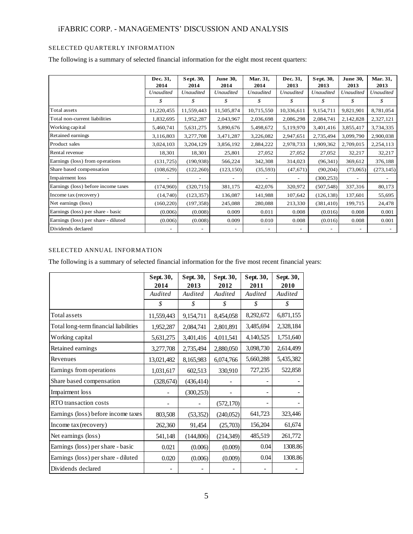## SELECTED QUARTERLY INFORMATION

The following is a summary of selected financial information for the eight most recent quarters:

|                                     | Dec. 31,   | Sept. 30,  | <b>June 30,</b>          | Mar. 31,   | Dec. 31,                 | Sept. 30,  | <b>June 30,</b> | Mar. 31,         |
|-------------------------------------|------------|------------|--------------------------|------------|--------------------------|------------|-----------------|------------------|
|                                     | 2014       | 2014       | 2014                     | 2014       | 2013                     | 2013       | 2013            | 2013             |
|                                     | Unaudited  | Unaudited  | Unaudited                | Unaudited  | Unaudited                | Unaudited  | Unaudited       | <b>Unaudited</b> |
|                                     | \$         | \$         | \$                       | \$         | \$                       | \$         | \$              | \$               |
| Total assets                        | 11,220,455 | 11,559,443 | 11,505,874               | 10,715,550 | 10,336,611               | 9,154,711  | 9,821,901       | 8,781,054        |
| Total non-current liabilities       | 1,832,695  | 1,952,287  | 2,043,967                | 2,036,698  | 2,086,298                | 2,084,741  | 2,142,828       | 2,327,121        |
| Working capital                     | 5,460,741  | 5,631,275  | 5,890,676                | 5,498,672  | 5,119,970                | 3,401,416  | 3,855,417       | 3,734,335        |
| Retained earnings                   | 3,116,803  | 3,277,708  | 3,471,287                | 3,226,082  | 2,947,651                | 2,735,494  | 3,099,790       | 2,900,038        |
| Product sales                       | 3,024,103  | 3,204,129  | 3,856,192                | 2,884,222  | 2,978,733                | 1,909,362  | 2,709,015       | 2,254,113        |
| Rental revenue                      | 18,301     | 18,301     | 25,801                   | 27,052     | 27,052                   | 27,052     | 32,217          | 32,217           |
| Earnings (loss) from operations     | (131, 725) | (190, 938) | 566,224                  | 342,308    | 314,023                  | (96, 341)  | 369,612         | 376,188          |
| Share based compensation            | (108, 629) | (122, 260) | (123, 150)               | (35,593)   | (47,671)                 | (90, 204)  | (73,065)        | (273, 145)       |
| Impairment loss                     |            | ۰          |                          |            |                          | (300, 253) |                 |                  |
| Earnings (loss) before income taxes | (174,960)  | (320,715)  | 381,175                  | 422,076    | 320,972                  | (507, 548) | 337,316         | 80,173           |
| Income tax (recovery)               | (14,740)   | (123, 357) | 136,087                  | 141,988    | 107,642                  | (126, 138) | 137,601         | 55,695           |
| Net earnings (loss)                 | (160, 220) | (197, 358) | 245,088                  | 280,088    | 213,330                  | (381, 410) | 199,715         | 24,478           |
| Earnings (loss) per share - basic   | (0.006)    | (0.008)    | 0.009                    | 0.011      | 0.008                    | (0.016)    | 0.008           | 0.001            |
| Earnings (loss) per share - diluted | (0.006)    | (0.008)    | 0.009                    | 0.010      | 0.008                    | (0.016)    | 0.008           | 0.001            |
| Dividends declared                  |            |            | $\overline{\phantom{a}}$ |            | $\overline{\phantom{a}}$ |            |                 |                  |

## SELECTED ANNUAL INFORMATION

The following is a summary of selected financial information for the five most recent financial years:

|                                       | Sept. 30,  | Sept. 30,  | Sept. 30,  | Sept. 30, | Sept. 30, |
|---------------------------------------|------------|------------|------------|-----------|-----------|
|                                       | 2014       | 2013       | 2012       | 2011      | 2010      |
|                                       | Audited    | Audited    | Audited    | Audited   | Audited   |
|                                       | \$         | \$         | \$         | \$        | \$        |
| Total assets                          | 11,559,443 | 9,154,711  | 8,454,058  | 8,292,672 | 6,871,155 |
| Total long-term financial liabilities | 1,952,287  | 2,084,741  | 2,801,891  | 3,485,694 | 2,328,184 |
| Working capital                       | 5,631,275  | 3,401,416  | 4,011,541  | 4,140,525 | 1,751,640 |
| Retained earnings                     | 3,277,708  | 2,735,494  | 2,880,050  | 3,098,730 | 2,614,499 |
| Revenues                              | 13,021,482 | 8,165,983  | 6,074,766  | 5,660,288 | 5,435,382 |
| Earnings from operations              | 1,031,617  | 602,513    | 330,910    | 727,235   | 522,858   |
| Share based compensation              | (328, 674) | (436, 414) |            |           |           |
| Impairment loss                       |            | (300, 253) |            |           |           |
| RTO transaction costs                 |            |            | (572, 170) |           |           |
| Earnings (loss) before income taxes   | 803,508    | (53, 352)  | (240,052)  | 641,723   | 323,446   |
| Income tax (recovery)                 | 262,360    | 91,454     | (25,703)   | 156,204   | 61,674    |
| Net earnings (loss)                   | 541,148    | (144, 806) | (214, 349) | 485,519   | 261,772   |
| Earnings (loss) per share - basic     | 0.021      | (0.006)    | (0.009)    | 0.04      | 1308.86   |
| Earnings (loss) per share - diluted   | 0.020      | (0.006)    | (0.009)    | 0.04      | 1308.86   |
| Dividends declared                    |            |            |            |           |           |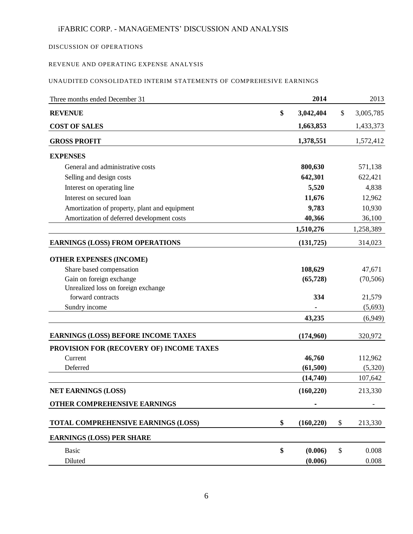## DISCUSSION OF OPERATIONS

## REVENUE AND OPERATING EXPENSE ANALYSIS

### UNAUDITED CONSOLIDATED INTERIM STATEMENTS OF COMPREHESIVE EARNINGS

| Three months ended December 31                | 2014             |              | 2013      |
|-----------------------------------------------|------------------|--------------|-----------|
| <b>REVENUE</b>                                | \$<br>3,042,404  | $\mathbb{S}$ | 3,005,785 |
| <b>COST OF SALES</b>                          | 1,663,853        |              | 1,433,373 |
| <b>GROSS PROFIT</b>                           | 1,378,551        |              | 1,572,412 |
| <b>EXPENSES</b>                               |                  |              |           |
| General and administrative costs              | 800,630          |              | 571,138   |
| Selling and design costs                      | 642,301          |              | 622,421   |
| Interest on operating line                    | 5,520            |              | 4,838     |
| Interest on secured loan                      | 11,676           |              | 12,962    |
| Amortization of property, plant and equipment | 9,783            |              | 10,930    |
| Amortization of deferred development costs    | 40,366           |              | 36,100    |
|                                               | 1,510,276        |              | 1,258,389 |
| <b>EARNINGS (LOSS) FROM OPERATIONS</b>        | (131, 725)       |              | 314,023   |
| <b>OTHER EXPENSES (INCOME)</b>                |                  |              |           |
| Share based compensation                      | 108,629          |              | 47,671    |
| Gain on foreign exchange                      | (65, 728)        |              | (70, 506) |
| Unrealized loss on foreign exchange           |                  |              |           |
| forward contracts                             | 334              |              | 21,579    |
| Sundry income                                 |                  |              | (5,693)   |
|                                               | 43,235           |              | (6,949)   |
| <b>EARNINGS (LOSS) BEFORE INCOME TAXES</b>    | (174,960)        |              | 320,972   |
| PROVISION FOR (RECOVERY OF) INCOME TAXES      |                  |              |           |
| Current                                       | 46,760           |              | 112,962   |
| Deferred                                      | (61,500)         |              | (5,320)   |
|                                               | (14,740)         |              | 107,642   |
| <b>NET EARNINGS (LOSS)</b>                    | (160, 220)       |              | 213,330   |
| OTHER COMPREHENSIVE EARNINGS                  |                  |              |           |
| <b>TOTAL COMPREHENSIVE EARNINGS (LOSS)</b>    | \$<br>(160, 220) | \$           | 213,330   |
| <b>EARNINGS (LOSS) PER SHARE</b>              |                  |              |           |
| <b>Basic</b>                                  | \$<br>(0.006)    | \$           | 0.008     |
| Diluted                                       | (0.006)          |              | 0.008     |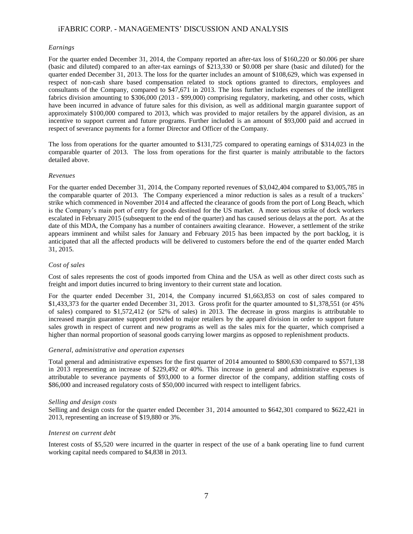### *Earnings*

For the quarter ended December 31, 2014, the Company reported an after-tax loss of \$160,220 or \$0.006 per share (basic and diluted) compared to an after-tax earnings of \$213,330 or \$0.008 per share (basic and diluted) for the quarter ended December 31, 2013. The loss for the quarter includes an amount of \$108,629, which was expensed in respect of non-cash share based compensation related to stock options granted to directors, employees and consultants of the Company, compared to \$47,671 in 2013. The loss further includes expenses of the intelligent fabrics division amounting to \$306,000 (2013 - \$99,000) comprising regulatory, marketing, and other costs, which have been incurred in advance of future sales for this division, as well as additional margin guarantee support of approximately \$100,000 compared to 2013, which was provided to major retailers by the apparel division, as an incentive to support current and future programs. Further included is an amount of \$93,000 paid and accrued in respect of severance payments for a former Director and Officer of the Company.

The loss from operations for the quarter amounted to \$131,725 compared to operating earnings of \$314,023 in the comparable quarter of 2013. The loss from operations for the first quarter is mainly attributable to the factors detailed above.

#### *Revenues*

For the quarter ended December 31, 2014, the Company reported revenues of \$3,042,404 compared to \$3,005,785 in the comparable quarter of 2013. The Company experienced a minor reduction is sales as a result of a truckers' strike which commenced in November 2014 and affected the clearance of goods from the port of Long Beach, which is the Company's main port of entry for goods destined for the US market. A more serious strike of dock workers escalated in February 2015 (subsequent to the end of the quarter) and has caused serious delays at the port. As at the date of this MDA, the Company has a number of containers awaiting clearance. However, a settlement of the strike appears imminent and whilst sales for January and February 2015 has been impacted by the port backlog, it is anticipated that all the affected products will be delivered to customers before the end of the quarter ended March 31, 2015.

#### *Cost of sales*

Cost of sales represents the cost of goods imported from China and the USA as well as other direct costs such as freight and import duties incurred to bring inventory to their current state and location.

For the quarter ended December 31, 2014, the Company incurred \$1,663,853 on cost of sales compared to \$1,433,373 for the quarter ended December 31, 2013. Gross profit for the quarter amounted to \$1,378,551 (or 45% of sales) compared to \$1,572,412 (or 52% of sales) in 2013. The decrease in gross margins is attributable to increased margin guarantee support provided to major retailers by the apparel division in order to support future sales growth in respect of current and new programs as well as the sales mix for the quarter, which comprised a higher than normal proportion of seasonal goods carrying lower margins as opposed to replenishment products.

#### *General, administrative and operation expenses*

Total general and administrative expenses for the first quarter of 2014 amounted to \$800,630 compared to \$571,138 in 2013 representing an increase of \$229,492 or 40%. This increase in general and administrative expenses is attributable to severance payments of \$93,000 to a former director of the company, addition staffing costs of \$86,000 and increased regulatory costs of \$50,000 incurred with respect to intelligent fabrics.

#### *Selling and design costs*

Selling and design costs for the quarter ended December 31, 2014 amounted to \$642,301 compared to \$622,421 in 2013, representing an increase of \$19,880 or 3%.

#### *Interest on current debt*

Interest costs of \$5,520 were incurred in the quarter in respect of the use of a bank operating line to fund current working capital needs compared to \$4,838 in 2013.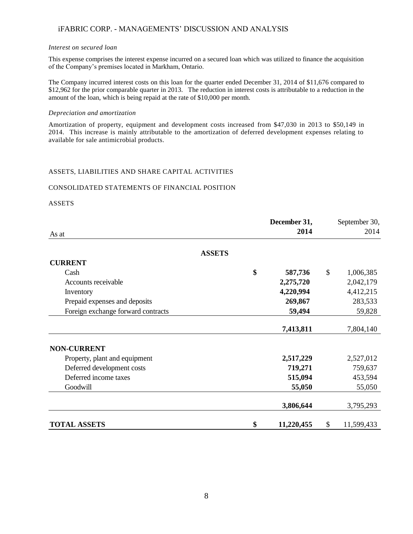#### *Interest on secured loan*

This expense comprises the interest expense incurred on a secured loan which was utilized to finance the acquisition of the Company's premises located in Markham, Ontario.

The Company incurred interest costs on this loan for the quarter ended December 31, 2014 of \$11,676 compared to \$12,962 for the prior comparable quarter in 2013. The reduction in interest costs is attributable to a reduction in the amount of the loan, which is being repaid at the rate of \$10,000 per month.

#### *Depreciation and amortization*

Amortization of property, equipment and development costs increased from \$47,030 in 2013 to \$50,149 in 2014. This increase is mainly attributable to the amortization of deferred development expenses relating to available for sale antimicrobial products.

## ASSETS, LIABILITIES AND SHARE CAPITAL ACTIVITIES

## CONSOLIDATED STATEMENTS OF FINANCIAL POSITION

#### ASSETS

| As at                              |               | December 31,<br>2014 | September 30,<br>2014 |
|------------------------------------|---------------|----------------------|-----------------------|
|                                    | <b>ASSETS</b> |                      |                       |
| <b>CURRENT</b>                     |               |                      |                       |
| Cash                               | \$            | 587,736              | \$<br>1,006,385       |
| Accounts receivable                |               | 2,275,720            | 2,042,179             |
| Inventory                          |               | 4,220,994            | 4,412,215             |
| Prepaid expenses and deposits      |               | 269,867              | 283,533               |
| Foreign exchange forward contracts |               | 59,494               | 59,828                |
|                                    |               | 7,413,811            | 7,804,140             |
| <b>NON-CURRENT</b>                 |               |                      |                       |
| Property, plant and equipment      |               | 2,517,229            | 2,527,012             |
| Deferred development costs         |               | 719,271              | 759,637               |
| Deferred income taxes              |               | 515,094              | 453,594               |
| Goodwill                           |               | 55,050               | 55,050                |
|                                    |               | 3,806,644            | 3,795,293             |
| <b>TOTAL ASSETS</b>                | \$            | 11,220,455           | \$<br>11,599,433      |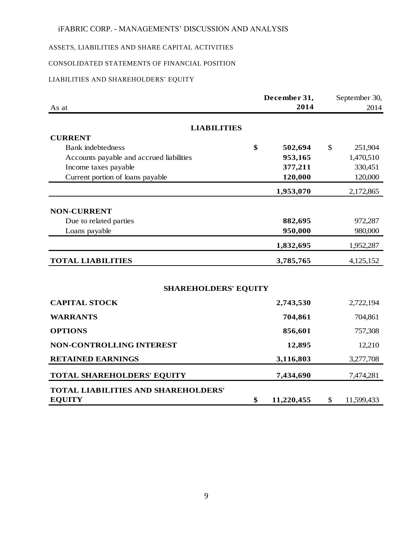### ASSETS, LIABILITIES AND SHARE CAPITAL ACTIVITIES

# CONSOLIDATED STATEMENTS OF FINANCIAL POSITION

# LIABILITIES AND SHAREHOLDERS' EQUITY

**EQUITY**

| As at                                      | December 31,<br>2014 |              | September 30,<br>2014 |
|--------------------------------------------|----------------------|--------------|-----------------------|
| <b>LIABILITIES</b>                         |                      |              |                       |
| <b>CURRENT</b>                             |                      |              |                       |
| <b>Bank</b> indebtedness                   | \$<br>502,694        | $\mathbb{S}$ | 251,904               |
| Accounts payable and accrued liabilities   | 953,165              |              | 1,470,510             |
| Income taxes payable                       | 377,211              |              | 330,451               |
| Current portion of loans payable           | 120,000              |              | 120,000               |
|                                            | 1,953,070            |              | 2,172,865             |
| <b>NON-CURRENT</b>                         |                      |              |                       |
| Due to related parties                     | 882,695              |              | 972,287               |
| Loans payable                              | 950,000              |              | 980,000               |
|                                            | 1,832,695            |              | 1,952,287             |
| <b>TOTAL LIABILITIES</b>                   | 3,785,765            |              | 4,125,152             |
| <b>SHAREHOLDERS' EQUITY</b>                |                      |              |                       |
| <b>CAPITAL STOCK</b>                       | 2,743,530            |              | 2,722,194             |
| <b>WARRANTS</b>                            | 704,861              |              | 704,861               |
| <b>OPTIONS</b>                             | 856,601              |              | 757,308               |
| <b>NON-CONTROLLING INTEREST</b>            | 12,895               |              | 12,210                |
| <b>RETAINED EARNINGS</b>                   | 3,116,803            |              | 3,277,708             |
| <b>TOTAL SHAREHOLDERS' EQUITY</b>          | 7,434,690            |              | 7,474,281             |
| <b>TOTAL LIABILITIES AND SHAREHOLDERS'</b> |                      |              |                       |

**\$ 11,220,455** \$ 11,599,433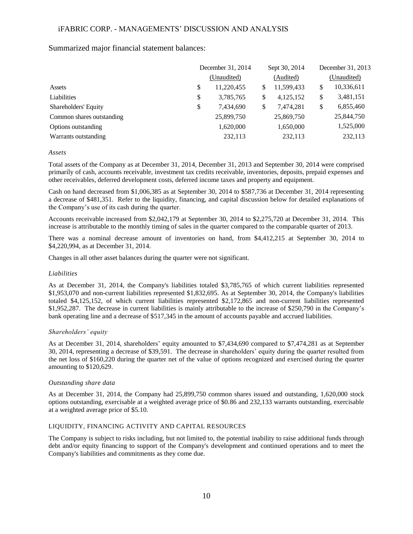## Summarized major financial statement balances:

|                             | December 31, 2014 |             |    | Sept 30, 2014 | December 31, 2013 |             |  |
|-----------------------------|-------------------|-------------|----|---------------|-------------------|-------------|--|
|                             |                   | (Unaudited) |    | (Audited)     |                   | (Unaudited) |  |
| Assets                      | \$                | 11,220,455  | \$ | 11,599,433    | S                 | 10,336,611  |  |
| Liabilities                 | \$                | 3,785,765   | \$ | 4,125,152     | \$                | 3,481,151   |  |
| <b>Shareholders' Equity</b> | \$                | 7,434,690   | \$ | 7,474,281     | S                 | 6,855,460   |  |
| Common shares outstanding   |                   | 25,899,750  |    | 25,869,750    |                   | 25,844,750  |  |
| Options outstanding         |                   | 1,620,000   |    | 1,650,000     |                   | 1,525,000   |  |
| Warrants outstanding        |                   | 232,113     |    | 232,113       |                   | 232,113     |  |

#### *Assets*

Total assets of the Company as at December 31, 2014, December 31, 2013 and September 30, 2014 were comprised primarily of cash, accounts receivable, investment tax credits receivable, inventories, deposits, prepaid expenses and other receivables, deferred development costs, deferred income taxes and property and equipment.

Cash on hand decreased from \$1,006,385 as at September 30, 2014 to \$587,736 at December 31, 2014 representing a decrease of \$481,351. Refer to the liquidity, financing, and capital discussion below for detailed explanations of the Company's use of its cash during the quarter.

Accounts receivable increased from \$2,042,179 at September 30, 2014 to \$2,275,720 at December 31, 2014. This increase is attributable to the monthly timing of sales in the quarter compared to the comparable quarter of 2013.

There was a nominal decrease amount of inventories on hand, from \$4,412,215 at September 30, 2014 to \$4,220,994, as at December 31, 2014.

Changes in all other asset balances during the quarter were not significant.

#### *Liabilities*

As at December 31, 2014, the Company's liabilities totaled \$3,785,765 of which current liabilities represented \$1,953,070 and non-current liabilities represented \$1,832,695. As at September 30, 2014, the Company's liabilities totaled \$4,125,152, of which current liabilities represented \$2,172,865 and non-current liabilities represented \$1,952,287. The decrease in current liabilities is mainly attributable to the increase of \$250,790 in the Company's bank operating line and a decrease of \$517,345 in the amount of accounts payable and accrued liabilities.

#### *Shareholders' equity*

As at December 31, 2014, shareholders' equity amounted to \$7,434,690 compared to \$7,474,281 as at September 30, 2014, representing a decrease of \$39,591. The decrease in shareholders' equity during the quarter resulted from the net loss of \$160,220 during the quarter net of the value of options recognized and exercised during the quarter amounting to \$120,629.

#### *Outstanding share data*

As at December 31, 2014, the Company had 25,899,750 common shares issued and outstanding, 1,620,000 stock options outstanding, exercisable at a weighted average price of \$0.86 and 232,133 warrants outstanding, exercisable at a weighted average price of \$5.10.

#### LIQUIDITY, FINANCING ACTIVITY AND CAPITAL RESOURCES

The Company is subject to risks including, but not limited to, the potential inability to raise additional funds through debt and/or equity financing to support of the Company's development and continued operations and to meet the Company's liabilities and commitments as they come due.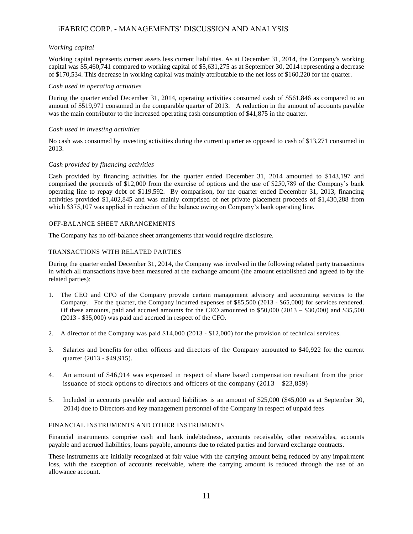### *Working capital*

Working capital represents current assets less current liabilities. As at December 31, 2014, the Company's working capital was \$5,460,741 compared to working capital of \$5,631,275 as at September 30, 2014 representing a decrease of \$170,534. This decrease in working capital was mainly attributable to the net loss of \$160,220 for the quarter.

#### *Cash used in operating activities*

During the quarter ended December 31, 2014, operating activities consumed cash of \$561,846 as compared to an amount of \$519,971 consumed in the comparable quarter of 2013. A reduction in the amount of accounts payable was the main contributor to the increased operating cash consumption of \$41,875 in the quarter.

### *Cash used in investing activities*

No cash was consumed by investing activities during the current quarter as opposed to cash of \$13,271 consumed in 2013.

#### *Cash provided by financing activities*

Cash provided by financing activities for the quarter ended December 31, 2014 amounted to \$143,197 and comprised the proceeds of \$12,000 from the exercise of options and the use of \$250,789 of the Company's bank operating line to repay debt of \$119,592. By comparison, for the quarter ended December 31, 2013, financing activities provided \$1,402,845 and was mainly comprised of net private placement proceeds of \$1,430,288 from which \$375,107 was applied in reduction of the balance owing on Company's bank operating line.

#### OFF-BALANCE SHEET ARRANGEMENTS

The Company has no off-balance sheet arrangements that would require disclosure.

#### TRANSACTIONS WITH RELATED PARTIES

During the quarter ended December 31, 2014, the Company was involved in the following related party transactions in which all transactions have been measured at the exchange amount (the amount established and agreed to by the related parties):

- 1. The CEO and CFO of the Company provide certain management advisory and accounting services to the Company. For the quarter, the Company incurred expenses of \$85,500 (2013 - \$65,000) for services rendered. Of these amounts, paid and accrued amounts for the CEO amounted to \$50,000 (2013 – \$30,000) and \$35,500 (2013 - \$35,000) was paid and accrued in respect of the CFO.
- 2. A director of the Company was paid \$14,000 (2013 \$12,000) for the provision of technical services.
- 3. Salaries and benefits for other officers and directors of the Company amounted to \$40,922 for the current quarter (2013 - \$49,915).
- 4. An amount of \$46,914 was expensed in respect of share based compensation resultant from the prior issuance of stock options to directors and officers of the company  $(2013 - $23,859)$
- 5. Included in accounts payable and accrued liabilities is an amount of \$25,000 (\$45,000 as at September 30, 2014) due to Directors and key management personnel of the Company in respect of unpaid fees

#### FINANCIAL INSTRUMENTS AND OTHER INSTRUMENTS

Financial instruments comprise cash and bank indebtedness, accounts receivable, other receivables, accounts payable and accrued liabilities, loans payable, amounts due to related parties and forward exchange contracts.

These instruments are initially recognized at fair value with the carrying amount being reduced by any impairment loss, with the exception of accounts receivable, where the carrying amount is reduced through the use of an allowance account.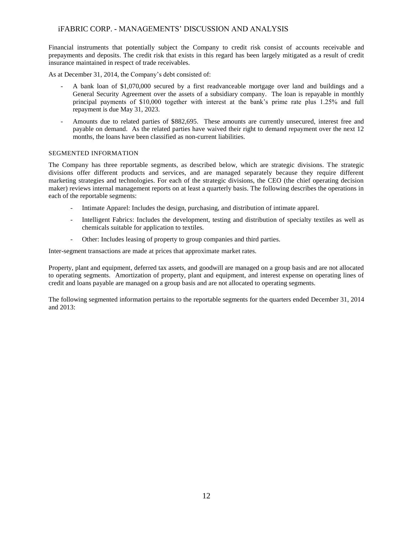Financial instruments that potentially subject the Company to credit risk consist of accounts receivable and prepayments and deposits. The credit risk that exists in this regard has been largely mitigated as a result of credit insurance maintained in respect of trade receivables.

As at December 31, 2014, the Company's debt consisted of:

- A bank loan of \$1,070,000 secured by a first readvanceable mortgage over land and buildings and a General Security Agreement over the assets of a subsidiary company. The loan is repayable in monthly principal payments of \$10,000 together with interest at the bank's prime rate plus 1.25% and full repayment is due May 31, 2023.
- Amounts due to related parties of \$882,695. These amounts are currently unsecured, interest free and payable on demand. As the related parties have waived their right to demand repayment over the next 12 months, the loans have been classified as non-current liabilities.

#### SEGMENTED INFORMATION

The Company has three reportable segments, as described below, which are strategic divisions. The strategic divisions offer different products and services, and are managed separately because they require different marketing strategies and technologies. For each of the strategic divisions, the CEO (the chief operating decision maker) reviews internal management reports on at least a quarterly basis. The following describes the operations in each of the reportable segments:

- Intimate Apparel: Includes the design, purchasing, and distribution of intimate apparel.
- Intelligent Fabrics: Includes the development, testing and distribution of specialty textiles as well as chemicals suitable for application to textiles.
- Other: Includes leasing of property to group companies and third parties.

Inter-segment transactions are made at prices that approximate market rates.

Property, plant and equipment, deferred tax assets, and goodwill are managed on a group basis and are not allocated to operating segments. Amortization of property, plant and equipment, and interest expense on operating lines of credit and loans payable are managed on a group basis and are not allocated to operating segments.

The following segmented information pertains to the reportable segments for the quarters ended December 31, 2014 and 2013: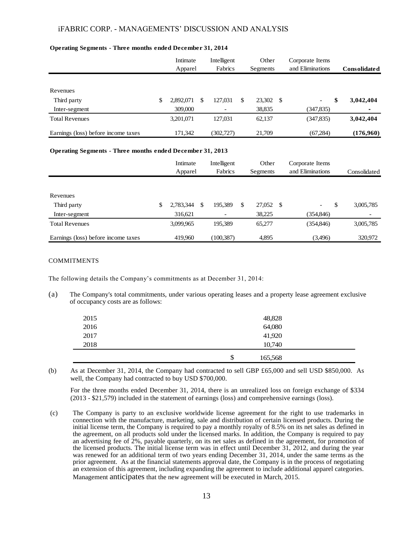|                                     | Intimate<br>Apparel |   | Intelligent<br>Fabrics | Other<br>Segments |    | Corporate Items<br>and Eliminations | <b>Consolidated</b> |
|-------------------------------------|---------------------|---|------------------------|-------------------|----|-------------------------------------|---------------------|
|                                     |                     |   |                        |                   |    |                                     |                     |
| Revenues                            |                     |   |                        |                   |    |                                     |                     |
| Third party                         | \$<br>2,892,071     | S | 127,031                | \$<br>23,302      | -S | $\overline{\phantom{a}}$            | \$<br>3,042,404     |
| Inter-segment                       | 309,000             |   |                        | 38,835            |    | (347, 835)                          | ۰                   |
| <b>Total Revenues</b>               | 3,201,071           |   | 127.031                | 62,137            |    | (347, 835)                          | 3,042,404           |
| Earnings (loss) before income taxes | 171,342             |   | (302,727)              | 21,709            |    | (67,284)                            | (176,960)           |

#### **Operating Segments - Three months ended December 31, 2014**

#### **Operating Segments - Three months ended December 31, 2013**

|                                     | Intimate<br>Apparel |   | Intelligent<br>Fabrics |   | Other<br>Segments | Corporate Items<br>and Eliminations | Consolidated    |
|-------------------------------------|---------------------|---|------------------------|---|-------------------|-------------------------------------|-----------------|
|                                     |                     |   |                        |   |                   |                                     |                 |
| Revenues                            |                     |   |                        |   |                   |                                     |                 |
| Third party                         | \$<br>2,783,344     | S | 195,389                | S | 27,052 \$         | \$<br>$\overline{\phantom{0}}$      | 3,005,785       |
| Inter-segment                       | 316,621             |   |                        |   | 38,225            | (354, 846)                          | $\qquad \qquad$ |
| <b>Total Revenues</b>               | 3,099,965           |   | 195.389                |   | 65,277            | (354, 846)                          | 3,005,785       |
| Earnings (loss) before income taxes | 419,960             |   | (100, 387)             |   | 4.895             | (3,496)                             | 320,972         |

#### **COMMITMENTS**

The following details the Company's commitments as at December 31, 2014:

(a) The Company's total commitments, under various operating leases and a property lease agreement exclusive of occupancy costs are as follows:

| 2015 | 48,828        |  |
|------|---------------|--|
| 2016 | 64,080        |  |
| 2017 | 41,920        |  |
| 2018 | 10,740        |  |
|      | \$<br>165,568 |  |

(b) As at December 31, 2014, the Company had contracted to sell GBP £65,000 and sell USD \$850,000. As well, the Company had contracted to buy USD \$700,000.

For the three months ended December 31, 2014, there is an unrealized loss on foreign exchange of \$334 (2013 - \$21,579) included in the statement of earnings (loss) and comprehensive earnings (loss).

(c) The Company is party to an exclusive worldwide license agreement for the right to use trademarks in connection with the manufacture, marketing, sale and distribution of certain licensed products. During the initial license term, the Company is required to pay a monthly royalty of 8.5% on its net sales as defined in the agreement, on all products sold under the licensed marks. In addition, the Company is required to pay an advertising fee of 2%, payable quarterly, on its net sales as defined in the agreement, for promotion of the licensed products. The initial license term was in effect until December 31, 2012, and during the year was renewed for an additional term of two years ending December 31, 2014, under the same terms as the prior agreement. As at the financial statements approval date, the Company is in the process of negotiating an extension of this agreement, including expanding the agreement to include additional apparel categories. Management anticipates that the new agreement will be executed in March, 2015.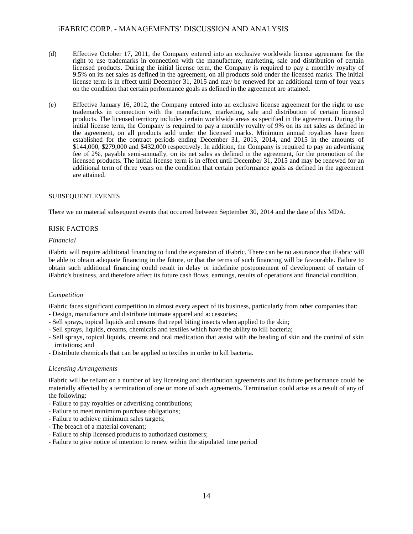- (d) Effective October 17, 2011, the Company entered into an exclusive worldwide license agreement for the right to use trademarks in connection with the manufacture, marketing, sale and distribution of certain licensed products. During the initial license term, the Company is required to pay a monthly royalty of 9.5% on its net sales as defined in the agreement, on all products sold under the licensed marks. The initial license term is in effect until December 31, 2015 and may be renewed for an additional term of four years on the condition that certain performance goals as defined in the agreement are attained.
- (e) Effective January 16, 2012, the Company entered into an exclusive license agreement for the right to use trademarks in connection with the manufacture, marketing, sale and distribution of certain licensed products. The licensed territory includes certain worldwide areas as specified in the agreement. During the initial license term, the Company is required to pay a monthly royalty of 9% on its net sales as defined in the agreement, on all products sold under the licensed marks. Minimum annual royalties have been established for the contract periods ending December 31, 2013, 2014, and 2015 in the amounts of \$144,000, \$279,000 and \$432,000 respectively. In addition, the Company is required to pay an advertising fee of 2%, payable semi-annually, on its net sales as defined in the agreement, for the promotion of the licensed products. The initial license term is in effect until December 31, 2015 and may be renewed for an additional term of three years on the condition that certain performance goals as defined in the agreement are attained.

#### SUBSEQUENT EVENTS

There we no material subsequent events that occurred between September 30, 2014 and the date of this MDA.

#### RISK FACTORS

#### *Financial*

iFabric will require additional financing to fund the expansion of iFabric. There can be no assurance that iFabric will be able to obtain adequate financing in the future, or that the terms of such financing will be favourable. Failure to obtain such additional financing could result in delay or indefinite postponement of development of certain of iFabric's business, and therefore affect its future cash flows, earnings, results of operations and financial condition.

#### *Competition*

iFabric faces significant competition in almost every aspect of its business, particularly from other companies that:

- Design, manufacture and distribute intimate apparel and accessories;
- Sell sprays, topical liquids and creams that repel biting insects when applied to the skin;
- Sell sprays, liquids, creams, chemicals and textiles which have the ability to kill bacteria;
- Sell sprays, topical liquids, creams and oral medication that assist with the healing of skin and the control of skin irritations; and
- Distribute chemicals that can be applied to textiles in order to kill bacteria.

#### *Licensing Arrangements*

iFabric will be reliant on a number of key licensing and distribution agreements and its future performance could be materially affected by a termination of one or more of such agreements. Termination could arise as a result of any of the following:

- Failure to pay royalties or advertising contributions;
- Failure to meet minimum purchase obligations;
- Failure to achieve minimum sales targets;
- The breach of a material covenant;
- Failure to ship licensed products to authorized customers;
- Failure to give notice of intention to renew within the stipulated time period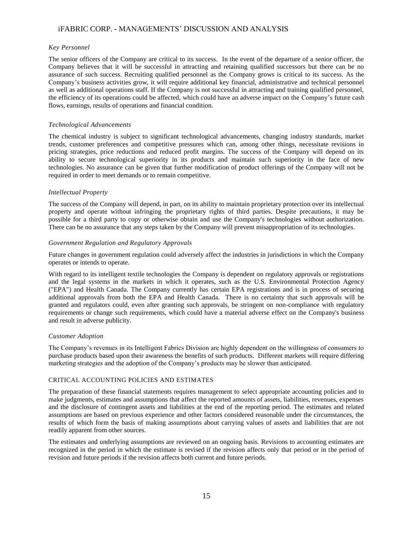### *Key Personnel*

The senior officers of the Company are critical to its success. In the event of the departure of a senior officer, the Company believes that it will be successful in attracting and retaining qualified successors but there can be no assurance of such success. Recruiting qualified personnel as the Company grows is critical to its success. As the Company's business activities grow, it will require additional key financial, administrative and technical personnel as well as additional operations staff. If the Company is not successful in attracting and training qualified personnel, the efficiency of its operations could be affected, which could have an adverse impact on the Company's future cash flows, earnings, results of operations and financial condition.

#### *Technological Advancements*

The chemical industry is subject to significant technological advancements, changing industry standards, market trends, customer preferences and competitive pressures which can, among other things, necessitate revisions in pricing strategies, price reductions and reduced profit margins. The success of the Company will depend on its ability to secure technological superiority in its products and maintain such superiority in the face of new technologies. No assurance can be given that further modification of product offerings of the Company will not be required in order to meet demands or to remain competitive.

### *Intellectual Property*

The success of the Company will depend, in part, on its ability to maintain proprietary protection over its intellectual property and operate without infringing the proprietary rights of third parties. Despite precautions, it may be possible for a third party to copy or otherwise obtain and use the Company's technologies without authorization. There can be no assurance that any steps taken by the Company will prevent misappropriation of its technologies.

#### *Government Regulation and Regulatory Approvals*

Future changes in government regulation could adversely affect the industries in jurisdictions in which the Company operates or intends to operate.

With regard to its intelligent textile technologies the Company is dependent on regulatory approvals or registrations and the legal systems in the markets in which it operates, such as the U.S. Environmental Protection Agency ("EPA") and Health Canada. The Company currently has certain EPA registrations and is in process of securing additional approvals from both the EPA and Health Canada. There is no certainty that such approvals will be granted and regulators could, even after granting such approvals, be stringent on non-compliance with regulatory requirements or change such requirements, which could have a material adverse effect on the Company's business and result in adverse publicity.

#### *Customer Adoption*

The Company's revenues in its Intelligent Fabrics Division are highly dependent on the willingness of consumers to purchase products based upon their awareness the benefits of such products. Different markets will require differing marketing strategies and the adoption of the Company's products may be slower than anticipated.

#### CRITICAL ACCOUNTING POLICIES AND ESTIMATES

The preparation of these financial statements requires management to select appropriate accounting policies and to make judgments, estimates and assumptions that affect the reported amounts of assets, liabilities, revenues, expenses and the disclosure of contingent assets and liabilities at the end of the reporting period. The estimates and related assumptions are based on previous experience and other factors considered reasonable under the circumstances, the results of which form the basis of making assumptions about carrying values of assets and liabilities that are not readily apparent from other sources.

The estimates and underlying assumptions are reviewed on an ongoing basis. Revisions to accounting estimates are recognized in the period in which the estimate is revised if the revision affects only that period or in the period of revision and future periods if the revision affects both current and future periods.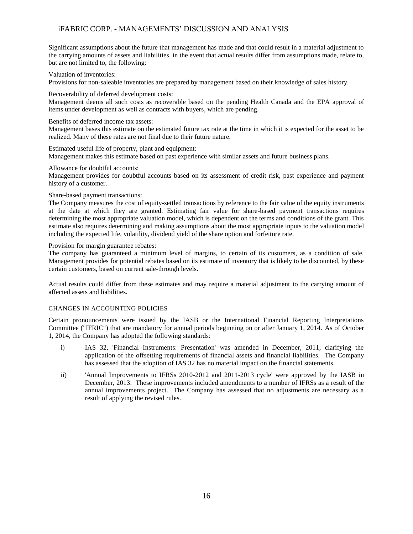Significant assumptions about the future that management has made and that could result in a material adjustment to the carrying amounts of assets and liabilities, in the event that actual results differ from assumptions made, relate to, but are not limited to, the following:

Valuation of inventories:

Provisions for non-saleable inventories are prepared by management based on their knowledge of sales history.

Recoverability of deferred development costs:

Management deems all such costs as recoverable based on the pending Health Canada and the EPA approval of items under development as well as contracts with buyers, which are pending.

Benefits of deferred income tax assets:

Management bases this estimate on the estimated future tax rate at the time in which it is expected for the asset to be realized. Many of these rates are not final due to their future nature.

Estimated useful life of property, plant and equipment:

Management makes this estimate based on past experience with similar assets and future business plans.

Allowance for doubtful accounts:

Management provides for doubtful accounts based on its assessment of credit risk, past experience and payment history of a customer.

#### Share-based payment transactions:

The Company measures the cost of equity-settled transactions by reference to the fair value of the equity instruments at the date at which they are granted. Estimating fair value for share-based payment transactions requires determining the most appropriate valuation model, which is dependent on the terms and conditions of the grant. This estimate also requires determining and making assumptions about the most appropriate inputs to the valuation model including the expected life, volatility, dividend yield of the share option and forfeiture rate.

Provision for margin guarantee rebates:

The company has guaranteed a minimum level of margins, to certain of its customers, as a condition of sale. Management provides for potential rebates based on its estimate of inventory that is likely to be discounted, by these certain customers, based on current sale-through levels.

Actual results could differ from these estimates and may require a material adjustment to the carrying amount of affected assets and liabilities.

#### CHANGES IN ACCOUNTING POLICIES

Certain pronouncements were issued by the IASB or the International Financial Reporting Interpretations Committee ("IFRIC") that are mandatory for annual periods beginning on or after January 1, 2014. As of October 1, 2014, the Company has adopted the following standards:

- i) IAS 32, 'Financial Instruments: Presentation' was amended in December, 2011, clarifying the application of the offsetting requirements of financial assets and financial liabilities. The Company has assessed that the adoption of IAS 32 has no material impact on the financial statements.
- ii) 'Annual Improvements to IFRSs 2010-2012 and 2011-2013 cycle' were approved by the IASB in December, 2013. These improvements included amendments to a number of IFRSs as a result of the annual improvements project. The Company has assessed that no adjustments are necessary as a result of applying the revised rules.